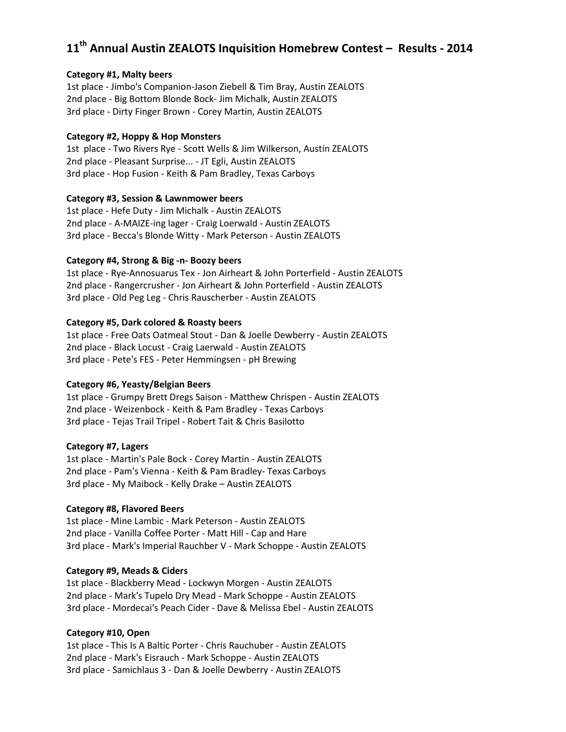# **11th Annual Austin ZEALOTS Inquisition Homebrew Contest – Results - 2014**

#### **Category #1, Malty beers**

1st place - Jimbo's Companion-Jason Ziebell & Tim Bray, Austin ZEALOTS 2nd place - Big Bottom Blonde Bock- Jim Michalk, Austin ZEALOTS 3rd place - Dirty Finger Brown - Corey Martin, Austin ZEALOTS

#### **Category #2, Hoppy & Hop Monsters**

1st place - Two Rivers Rye - Scott Wells & Jim Wilkerson, Austin ZEALOTS 2nd place - Pleasant Surprise... - JT Egli, Austin ZEALOTS 3rd place - Hop Fusion - Keith & Pam Bradley, Texas Carboys

#### **Category #3, Session & Lawnmower beers**

1st place - Hefe Duty - Jim Michalk - Austin ZEALOTS 2nd place - A-MAIZE-ing lager - Craig Loerwald - Austin ZEALOTS 3rd place - Becca's Blonde Witty - Mark Peterson - Austin ZEALOTS

## **Category #4, Strong & Big -n- Boozy beers**

1st place - Rye-Annosuarus Tex - Jon Airheart & John Porterfield - Austin ZEALOTS 2nd place - Rangercrusher - Jon Airheart & John Porterfield - Austin ZEALOTS 3rd place - Old Peg Leg - Chris Rauscherber - Austin ZEALOTS

## **Category #5, Dark colored & Roasty beers**

1st place - Free Oats Oatmeal Stout - Dan & Joelle Dewberry - Austin ZEALOTS 2nd place - Black Locust - Craig Laerwald - Austin ZEALOTS 3rd place - Pete's FES - Peter Hemmingsen - pH Brewing

## **Category #6, Yeasty/Belgian Beers**

1st place - Grumpy Brett Dregs Saison - Matthew Chrispen - Austin ZEALOTS 2nd place - Weizenbock - Keith & Pam Bradley - Texas Carboys 3rd place - Tejas Trail Tripel - Robert Tait & Chris Basilotto

#### **Category #7, Lagers**

1st place - Martin's Pale Bock - Corey Martin - Austin ZEALOTS 2nd place - Pam's Vienna - Keith & Pam Bradley- Texas Carboys 3rd place - My Maibock - Kelly Drake – Austin ZEALOTS

#### **Category #8, Flavored Beers**

1st place - Mine Lambic - Mark Peterson - Austin ZEALOTS 2nd place - Vanilla Coffee Porter - Matt Hill - Cap and Hare 3rd place - Mark's Imperial Rauchber V - Mark Schoppe - Austin ZEALOTS

## **Category #9, Meads & Ciders**

1st place - Blackberry Mead - Lockwyn Morgen - Austin ZEALOTS 2nd place - Mark's Tupelo Dry Mead - Mark Schoppe - Austin ZEALOTS 3rd place - Mordecai's Peach Cider - Dave & Melissa Ebel - Austin ZEALOTS

## **Category #10, Open**

1st place - This Is A Baltic Porter - Chris Rauchuber - Austin ZEALOTS 2nd place - Mark's Eisrauch - Mark Schoppe - Austin ZEALOTS 3rd place - Samichlaus 3 - Dan & Joelle Dewberry - Austin ZEALOTS